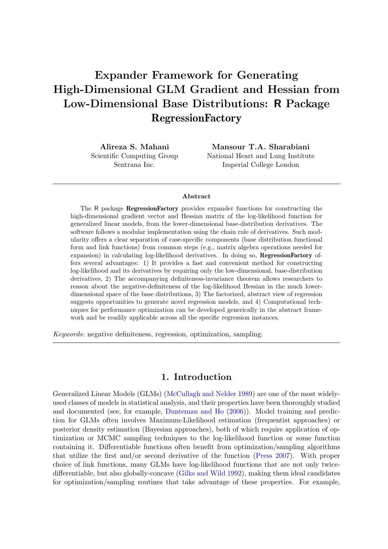# Expander Framework for Generating High-Dimensional GLM Gradient and Hessian from Low-Dimensional Base Distributions: R Package RegressionFactory

Alireza S. Mahani Scientific Computing Group Sentrana Inc.

Mansour T.A. Sharabiani National Heart and Lung Institute Imperial College London

#### Abstract

The R package RegressionFactory provides expander functions for constructing the high-dimensional gradient vector and Hessian matrix of the log-likelihood function for generalized linear models, from the lower-dimensional base-distribution derivatives. The software follows a modular implementation using the chain rule of derivatives. Such modularity offers a clear separation of case-specific components (base distribution functional form and link functions) from common steps (e.g., matrix algebra operations needed for expansion) in calculating log-likelihood derivatives. In doing so, RegressionFactory offers several advantages: 1) It provides a fast and convenient method for constructing log-likelihood and its derivatives by requiring only the low-dimensional, base-distribution derivatives, 2) The accompanying definiteness-invariance theorem allows researchers to reason about the negative-definiteness of the log-likelihood Hessian in the much lowerdimensional space of the base distributions, 3) The factorized, abstract view of regression suggests opportunities to generate novel regression models, and 4) Computational techniques for performance optimization can be developed generically in the abstract framework and be readily applicable across all the specific regression instances.

Keywords: negative definiteness, regression, optimization, sampling.

## 1. Introduction

Generalized Linear Models (GLMs) [\(McCullagh and Nelder](#page-17-0) [1989\)](#page-17-0) are one of the most widelyused classes of models in statistical analysis, and their properties have been thoroughly studied and documented (see, for example, [Dunteman and Ho](#page-16-0) [\(2006\)](#page-16-0)). Model training and prediction for GLMs often involves Maximum-Likelihood estimation (frequentist approaches) or posterior density estimation (Bayesian approaches), both of which require application of optimization or MCMC sampling techniques to the log-likelihood function or some function containing it. Differentiable functions often benefit from optimization/sampling algorithms that utilize the first and/or second derivative of the function [\(Press](#page-17-1) [2007\)](#page-17-1). With proper choice of link functions, many GLMs have log-likelihood functions that are not only twicedifferentiable, but also globally-concave [\(Gilks and Wild](#page-16-1) [1992\)](#page-16-1), making them ideal candidates for optimization/sampling routines that take advantage of these properties. For example,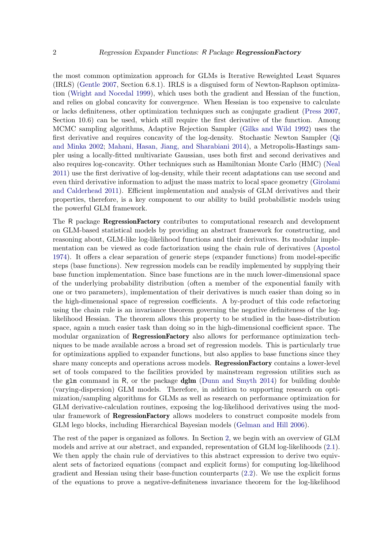the most common optimization approach for GLMs is Iterative Reweighted Least Squares (IRLS) [\(Gentle](#page-16-2) [2007,](#page-16-2) Section 6.8.1). IRLS is a disguised form of Newton-Raphson optimization [\(Wright and Nocedal](#page-17-2) [1999\)](#page-17-2), which uses both the gradient and Hessian of the function, and relies on global concavity for convergence. When Hessian is too expensive to calculate or lacks definiteness, other optimization techniques such as conjugate gradient [\(Press](#page-17-1) [2007,](#page-17-1) Section 10.6) can be used, which still require the first derivative of the function. Among MCMC sampling algorithms, Adaptive Rejection Sampler [\(Gilks and Wild](#page-16-1) [1992\)](#page-16-1) uses the first derivative and requires concavity of the log-density. Stochastic Newton Sampler [\(Qi](#page-17-3) [and Minka](#page-17-3) [2002;](#page-17-3) [Mahani, Hasan, Jiang, and Sharabiani](#page-17-4) [2014\)](#page-17-4), a Metropolis-Hastings sampler using a locally-fitted multivariate Gaussian, uses both first and second derivatives and also requires log-concavity. Other techniques such as Hamiltonian Monte Carlo (HMC) [\(Neal](#page-17-5) [2011\)](#page-17-5) use the first derivative of log-density, while their recent adaptations can use second and even third derivative information to adjust the mass matrix to local space geometry [\(Girolami](#page-17-6) [and Calderhead](#page-17-6) [2011\)](#page-17-6). Efficient implementation and analysis of GLM derivatives and their properties, therefore, is a key component to our ability to build probabilistic models using the powerful GLM framework.

The R package RegressionFactory contributes to computational research and development on GLM-based statistical models by providing an abstract framework for constructing, and reasoning about, GLM-like log-likelihood functions and their derivatives. Its modular implementation can be viewed as code factorization using the chain rule of derivatives [\(Apostol](#page-16-3) [1974\)](#page-16-3). It offers a clear separation of generic steps (expander functions) from model-specific steps (base functions). New regression models can be readily implemented by supplying their base function implementation. Since base functions are in the much lower-dimensional space of the underlying probability distribution (often a member of the exponential family with one or two parameters), implementation of their derivatives is much easier than doing so in the high-dimensional space of regression coefficients. A by-product of this code refactoring using the chain rule is an invariance theorem governing the negative definiteness of the loglikelihood Hessian. The theorem allows this property to be studied in the base-distribution space, again a much easier task than doing so in the high-dimensional coefficient space. The modular organization of **RegressionFactory** also allows for performance optimization techniques to be made available across a broad set of regression models. This is particularly true for optimizations applied to expander functions, but also applies to base functions since they share many concepts and operations across models. RegressionFactory contains a lower-level set of tools compared to the facilities provided by mainstream regression utilities such as the glm command in R, or the package dglm [\(Dunn and Smyth](#page-16-4) [2014\)](#page-16-4) for building double (varying-dispersion) GLM models. Therefore, in addition to supporting research on optimization/sampling algorithms for GLMs as well as research on performance optimization for GLM derivative-calculation routines, exposing the log-likelihood derivatives using the modular framework of RegressionFactory allows modelers to construct composite models from GLM lego blocks, including Hierarchical Bayesian models [\(Gelman and Hill](#page-16-5) [2006\)](#page-16-5).

The rest of the paper is organized as follows. In Section [2,](#page-2-0) we begin with an overview of GLM models and arrive at our abstract, and expanded, representation of GLM log-likelihoods [\(2.1\)](#page-2-1). We then apply the chain rule of derviatives to this abstract expression to derive two equivalent sets of factorized equations (compact and explicit forms) for computing log-likelihood gradient and Hessian using their base-function counterparts [\(2.2\)](#page-3-0). We use the explicit forms of the equations to prove a negative-definiteness invariance theorem for the log-likelihood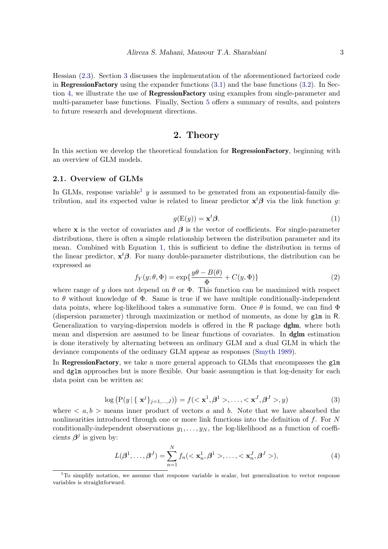Hessian [\(2.3\)](#page-4-0). Section [3](#page-5-0) discusses the implementation of the aforementioned factorized code in RegressionFactory using the expander functions  $(3.1)$  and the base functions  $(3.2)$ . In Section [4,](#page-10-0) we illustrate the use of RegressionFactory using examples from single-parameter and multi-parameter base functions. Finally, Section [5](#page-15-0) offers a summary of results, and pointers to future research and development directions.

# 2. Theory

<span id="page-2-0"></span>In this section we develop the theoretical foundation for RegressionFactory, beginning with an overview of GLM models.

#### <span id="page-2-1"></span>2.1. Overview of GLMs

<span id="page-2-3"></span>In GLMs, response variable<sup>[1](#page-2-2)</sup> y is assumed to be generated from an exponential-family distribution, and its expected value is related to linear predictor  $x^t\beta$  via the link function g:

$$
g(\mathbf{E}(y)) = \mathbf{x}^t \boldsymbol{\beta}.
$$
 (1)

where x is the vector of covariates and  $\beta$  is the vector of coefficients. For single-parameter distributions, there is often a simple relationship between the distribution parameter and its mean. Combined with Equation [1,](#page-2-3) this is sufficient to define the distribution in terms of the linear predictor,  $x^t\beta$ . For many double-parameter distributions, the distribution can be expressed as

$$
f_Y(y; \theta, \Phi) = \exp\left\{\frac{y\theta - B(\theta)}{\Phi} + C(y, \Phi)\right\}
$$
 (2)

where range of y does not depend on  $\theta$  or  $\Phi$ . This function can be maximized with respect to  $\theta$  without knowledge of  $\Phi$ . Same is true if we have multiple conditionally-independent data points, where log-likelihood takes a summative form. Once  $\theta$  is found, we can find  $\Phi$ (dispersion parameter) through maximization or method of moments, as done by glm in R. Generalization to varying-dispersion models is offered in the R package **dglm**, where both mean and dispersion are assumed to be linear functions of covariates. In dglm estimation is done iteratively by alternating between an ordinary GLM and a dual GLM in which the deviance components of the ordinary GLM appear as responses [\(Smyth](#page-17-7) [1989\)](#page-17-7).

In **RegressionFactory**, we take a more general approach to GLMs that encompasses the glm and dglm approaches but is more flexible. Our basic assumption is that log-density for each data point can be written as:

$$
\log (P(y | \{ \mathbf{x}^j \}_{j=1,\dots,J})) = f(<\mathbf{x}^1, \beta^1 > \dots, <\mathbf{x}^J, \beta^J > y)
$$
 (3)

where  $\langle a, b \rangle$  means inner product of vectors a and b. Note that we have absorbed the nonlinearities introduced through one or more link functions into the definition of  $f$ . For  $N$ conditionally-independent observations  $y_1, \ldots, y_N$ , the log-likelihood as a function of coefficients  $\beta^j$  is given by:

<span id="page-2-4"></span>
$$
L(\boldsymbol{\beta}^{1}, \ldots, \boldsymbol{\beta}^{J}) = \sum_{n=1}^{N} f_{n}(<\mathbf{x}_{n}^{1}, \boldsymbol{\beta}^{1}>, \ldots, <\mathbf{x}_{n}^{J}, \boldsymbol{\beta}^{J}>)
$$
\n(4)

<span id="page-2-2"></span> $1$ To simplify notation, we assume that response variable is scalar, but generalization to vector response variables is straightforward.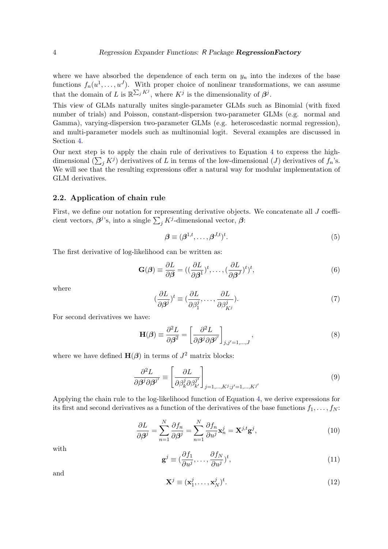where we have absorbed the dependence of each term on  $y_n$  into the indexes of the base functions  $f_n(u^1, \ldots, u^J)$ . With proper choice of nonlinear transformations, we can assume that the domain of L is  $\mathbb{R}^{\sum_j K^j}$ , where  $K^j$  is the dimensionality of  $\beta^j$ .

This view of GLMs naturally unites single-parameter GLMs such as Binomial (with fixed number of trials) and Poisson, constant-dispersion two-parameter GLMs (e.g. normal and Gamma), varying-dispersion two-parameter GLMs (e.g. heteroscedastic normal regression), and multi-parameter models such as multinomial logit. Several examples are discussed in Section [4.](#page-10-0)

Our next step is to apply the chain rule of derivatives to Equation [4](#page-2-4) to express the highdimensional  $(\sum_j K^j)$  derivatives of L in terms of the low-dimensional  $(J)$  derivatives of  $f_n$ 's. We will see that the resulting expressions offer a natural way for modular implementation of GLM derivatives.

#### <span id="page-3-0"></span>2.2. Application of chain rule

First, we define our notation for representing derivative objects. We concatenate all J coefficient vectors,  $\beta^{j}$ 's, into a single  $\sum_{j} K^{j}$ -dimensional vector,  $\beta$ :

$$
\beta \equiv (\beta^{1,t}, \dots, \beta^{J,t})^t. \tag{5}
$$

The first derivative of log-likelihood can be written as:

$$
\mathbf{G}(\boldsymbol{\beta}) \equiv \frac{\partial L}{\partial \boldsymbol{\beta}} = ((\frac{\partial L}{\partial \boldsymbol{\beta}^1})^t, \dots, (\frac{\partial L}{\partial \boldsymbol{\beta}^J})^t)^t,
$$
\n(6)

where

$$
(\frac{\partial L}{\partial \beta^j})^t \equiv (\frac{\partial L}{\partial \beta_1^j}, \dots, \frac{\partial L}{\partial \beta_{K^j}^j}).
$$
\n(7)

For second derivatives we have:

$$
\mathbf{H}(\boldsymbol{\beta}) \equiv \frac{\partial^2 L}{\partial \boldsymbol{\beta}^2} = \left[\frac{\partial^2 L}{\partial \boldsymbol{\beta}^j \partial \boldsymbol{\beta}^{j'}}\right]_{j,j'=1,\dots,J},\tag{8}
$$

where we have defined  $\mathbf{H}(\boldsymbol{\beta})$  in terms of  $J^2$  matrix blocks:

$$
\frac{\partial^2 L}{\partial \beta^j \partial \beta^{j'}} \equiv \left[ \frac{\partial L}{\partial \beta_k^j \partial \beta_{k'}^{j'}} \right]_{j=1,\dots,K^j;j'=1,\dots,K^{j'}}
$$
(9)

<span id="page-3-1"></span>Applying the chain rule to the log-likelihood function of Equation [4,](#page-2-4) we derive expressions for its first and second derivatives as a function of the derivatives of the base functions  $f_1, \ldots, f_N$ :

$$
\frac{\partial L}{\partial \beta^j} = \sum_{n=1}^N \frac{\partial f_n}{\partial \beta^j} = \sum_{n=1}^N \frac{\partial f_n}{\partial u^j} \mathbf{x}_n^j = \mathbf{X}^{j,t} \mathbf{g}^j,\tag{10}
$$

with

$$
\mathbf{g}^{j} \equiv (\frac{\partial f_{1}}{\partial u^{j}}, \dots, \frac{\partial f_{N}}{\partial u^{j}})^{t}, \tag{11}
$$

and

$$
\mathbf{X}^j \equiv (\mathbf{x}_1^j, \dots, \mathbf{x}_N^j)^t. \tag{12}
$$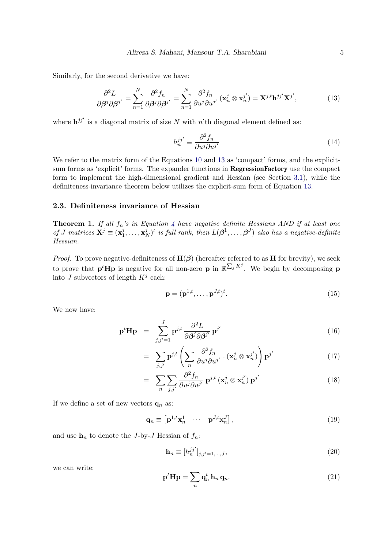Similarly, for the second derivative we have:

$$
\frac{\partial^2 L}{\partial \beta^j \partial \beta^{j'}} = \sum_{n=1}^N \frac{\partial^2 f_n}{\partial \beta^j \partial \beta^{j'}} = \sum_{n=1}^N \frac{\partial^2 f_n}{\partial u^j \partial u^{j'}} (\mathbf{x}_n^j \otimes \mathbf{x}_n^{j'}) = \mathbf{X}^{j,t} \mathbf{h}^{jj'} \mathbf{X}^{j'},\tag{13}
$$

where  $\mathbf{h}^{jj'}$  is a diagonal matrix of size N with n'th diagonal element defined as:

<span id="page-4-1"></span>
$$
h_n^{jj'} \equiv \frac{\partial^2 f_n}{\partial u^j \partial u^{j'}} \tag{14}
$$

We refer to the matrix form of the Equations [10](#page-3-1) and [13](#page-4-1) as 'compact' forms, and the explicitsum forms as 'explicit' forms. The expander functions in RegressionFactory use the compact form to implement the high-dimensional gradient and Hessian (see Section [3.1\)](#page-5-1), while the definiteness-invariance theorem below utilizes the explicit-sum form of Equation [13.](#page-4-1)

#### <span id="page-4-2"></span><span id="page-4-0"></span>2.3. Definiteness invariance of Hessian

**Theorem 1.** If all  $f_n$ 's in Equation [4](#page-2-4) have negative definite Hessians AND if at least one of J matrices  $\mathbf{X}^j \equiv (\mathbf{x}_1^j)$  $j_1^j,\ldots,{\mathbf{x}}^j_l$  $\mathcal{L}_{N}^{j})^{t}$  is full rank, then  $L(\boldsymbol{\beta}^{1},\ldots,\boldsymbol{\beta}^{J})$  also has a negative-definite Hessian.

*Proof.* To prove negative-definiteness of  $H(\beta)$  (hereafter referred to as H for brevity), we seek to prove that  $p^t$ **H** $p$  is negative for all non-zero  $p$  in  $\mathbb{R}^{\sum_j K^j}$ . We begin by decomposing  $p$ into J subvectors of length  $K^j$  each:

$$
\mathbf{p} = (\mathbf{p}^{1,t}, \dots, \mathbf{p}^{J,t})^t. \tag{15}
$$

We now have:

$$
\mathbf{p}^t \mathbf{H} \mathbf{p} = \sum_{j,j'=1}^J \mathbf{p}^{j,t} \frac{\partial^2 L}{\partial \boldsymbol{\beta}^j \partial \boldsymbol{\beta}^{j'}} \mathbf{p}^{j'}
$$
(16)

$$
= \sum_{j,j'} \mathbf{p}^{j,t} \left( \sum_n \frac{\partial^2 f_n}{\partial u^j \partial u^{j'}} \cdot (\mathbf{x}_n^j \otimes \mathbf{x}_n^{j'}) \right) \mathbf{p}^{j'}
$$
(17)

$$
= \sum_{n} \sum_{j,j'} \frac{\partial^2 f_n}{\partial u^j \partial u^{j'}} \mathbf{p}^{j,t} (\mathbf{x}_n^j \otimes \mathbf{x}_n^{j'}) \mathbf{p}^{j'}
$$
(18)

If we define a set of new vectors  $\mathbf{q}_n$  as:

$$
\mathbf{q}_n \equiv \begin{bmatrix} \mathbf{p}^{1,t} \mathbf{x}_n^1 & \cdots & \mathbf{p}^{J,t} \mathbf{x}_n^J \end{bmatrix},\tag{19}
$$

and use  $h_n$  to denote the J-by-J Hessian of  $f_n$ :

$$
\mathbf{h}_n \equiv [h_n^{jj'}]_{j,j'=1,\dots,J},\tag{20}
$$

we can write:

$$
\mathbf{p}^t \mathbf{H} \mathbf{p} = \sum_n \mathbf{q}_n^t \, \mathbf{h}_n \, \mathbf{q}_n. \tag{21}
$$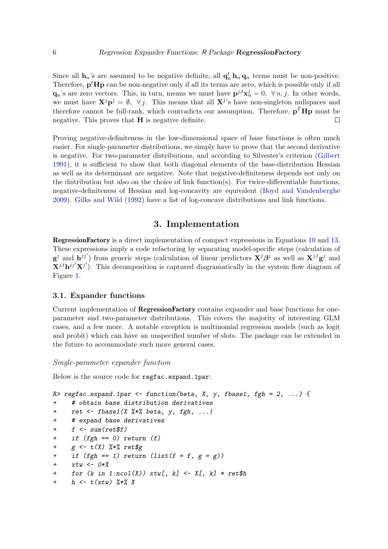Since all  $\mathbf{h}_n$ 's are assumed to be negative definite, all  $\mathbf{q}_n^t \mathbf{h}_n \mathbf{q}_n$  terms must be non-positive. Therefore,  $p^t$ Hp can be non-negative only if all its terms are zero, which is possible only if all  $\mathbf{q}_n$ 's are zero vectors. This, in turn, means we must have  $\mathbf{p}^{j,t} \mathbf{x}_n^j = 0$ ,  $\forall n, j$ . In other words, we must have  $\mathbf{X}^j \mathbf{p}^j = \emptyset$ ,  $\forall j$ . This means that all  $\mathbf{X}^j$ 's have non-singleton nullspaces and therefore cannot be full-rank, which contradicts our assumption. Therefore,  $\mathbf{p}^T \mathbf{H} \mathbf{p}$  must be negative. This proves that  $H$  is negative definite.  $\Box$ 

Proving negative-definiteness in the low-dimensional space of base functions is often much easier. For single-parameter distributions, we simply have to prove that the second derivative is negative. For two-parameter distributions, and according to Silvester's criterion [\(Gilbert](#page-16-6) [1991\)](#page-16-6), it is sufficient to show that both diagonal elements of the base-distribution Hessian as well as its determinant are negative. Note that negative-definiteness depends not only on the distribution but also on the choice of link function(s). For twice-differentiable functions, negative-definiteness of Hessian and log-concavity are equivalent [\(Boyd and Vandenberghe](#page-16-7) [2009\)](#page-16-7). [Gilks and Wild](#page-16-1) [\(1992\)](#page-16-1) have a list of log-concave distributions and link functions.

# 3. Implementation

<span id="page-5-0"></span>RegressionFactory is a direct implementation of compact expressions in Equations [10](#page-3-1) and [13.](#page-4-1) These expressions imply a code refactoring by separating model-specific steps (calculation of  $g^j$  and  $h^{jj'}$ ) from generic steps (calculation of linear predictors  $X^j\beta^j$  as well as  $X^{j,t}g^j$  and  $\mathbf{X}^{j,t} \mathbf{h}^{j,j'} \mathbf{X}^{j'}$ . This decomposition is captured diagramatically in the system flow diagram of Figure [1.](#page-6-0)

#### <span id="page-5-1"></span>3.1. Expander functions

Current implementation of RegressionFactory contains expander and base functions for oneparameter and two-parameter distributions. This covers the majority of interesting GLM cases, and a few more. A notable exception is multinomial regression models (such as logit and probit) which can have an unspecified number of slots. The package can be extended in the future to accommodate such more general cases.

#### Single-parameter expander function

Below is the source code for regfac.expand.1par:

```
R> regfac.expand.1par <- function(beta, X, y, fbase1, fgh = 2, ...) {
+ # obtain base distribution derivatives
+ ret <- fbase1(X %*% beta, y, fgh, ...)
+ # expand base derivatives
+ f \leq sum(ret$f)
+ if (fgh == 0) return (f)+ g \leq t(X) %*% ret$g
+ if (fgh == 1) return (list(f = f, g = g))+ xtw \leftarrow 0*X+ for (k \text{ in } 1:\text{ncol}(X)) xtw[, k] <- X[, k] * ret$h
+ h \leftarrow t(xtw) %*% X
```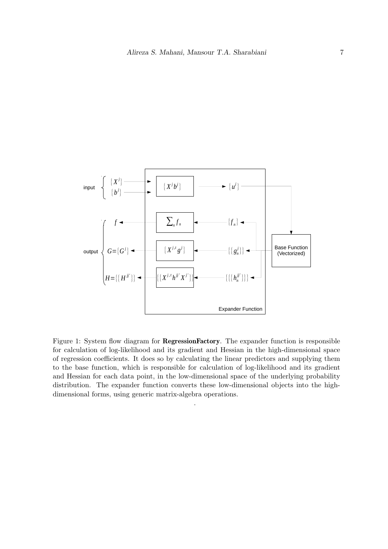

<span id="page-6-0"></span>Figure 1: System flow diagram for **RegressionFactory**. The expander function is responsible for calculation of log-likelihood and its gradient and Hessian in the high-dimensional space of regression coefficients. It does so by calculating the linear predictors and supplying them to the base function, which is responsible for calculation of log-likelihood and its gradient and Hessian for each data point, in the low-dimensional space of the underlying probability distribution. The expander function converts these low-dimensional objects into the highdimensional forms, using generic matrix-algebra operations.

.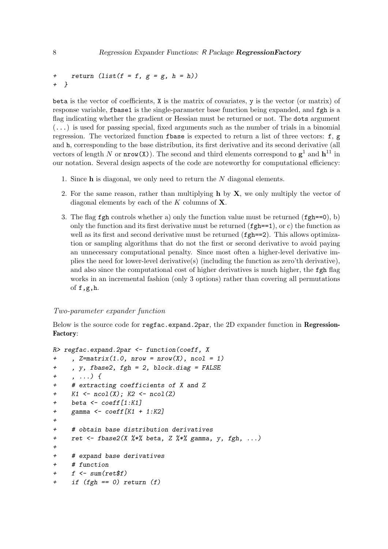```
+ return (list(f = f, g = g, h = h))+ }
```
beta is the vector of coefficients,  $X$  is the matrix of covariates,  $y$  is the vector (or matrix) of response variable, fbase1 is the single-parameter base function being expanded, and fgh is a flag indicating whether the gradient or Hessian must be returned or not. The dots argument  $(\ldots)$  is used for passing special, fixed arguments such as the number of trials in a binomial regression. The vectorized function fbase is expected to return a list of three vectors: f, g and h, corresponding to the base distribution, its first derivative and its second derivative (all vectors of length N or  $nrow(X)$ ). The second and third elements correspond to  $g^1$  and  $h^{11}$  in our notation. Several design aspects of the code are noteworthy for computational efficiency:

- 1. Since h is diagonal, we only need to return the N diagonal elements.
- 2. For the same reason, rather than multiplying  $h$  by  $X$ , we only multiply the vector of diagonal elements by each of the  $K$  columns of  $X$ .
- 3. The flag fgh controls whether a) only the function value must be returned (fgh==0), b) only the function and its first derivative must be returned  $(fgh==1)$ , or c) the function as well as its first and second derivative must be returned ( $fgh == 2$ ). This allows optimization or sampling algorithms that do not the first or second derivative to avoid paying an unnecessary computational penalty. Since most often a higher-level derivative implies the need for lower-level derivative(s) (including the function as zero'th derivative), and also since the computational cost of higher derivatives is much higher, the fgh flag works in an incremental fashion (only 3 options) rather than covering all permutations of  $f$ ,g,h.

#### Two-parameter expander function

Below is the source code for regfac.expand.2par, the 2D expander function in Regression-Factory:

```
R> regfac.expand.2par <- function(coeff, X
+ , Z = matrix(1.0, nrow = nrow(X), ncol = 1)+ , y, fbase2, fgh = 2, block.diag = FALSE
+, ...) {
+ # extracting coefficients of X and Z
+ K1 \leftarrow ncol(X); K2 \leftarrow ncol(Z)
+ beta <- coeff[1:K1]
+ gamma \leq coeff[K1 + 1:K2]
+
+ # obtain base distribution derivatives
+ ret <- fbase2(X \frac{1}{2} % beta, Z \frac{1}{2} % gamma, y, fgh, ...)
+
+ # expand base derivatives
+ # function
+ f \leftarrow \text{sum}(\text{ret}\f)
+ if (fgh == 0) return (f)
```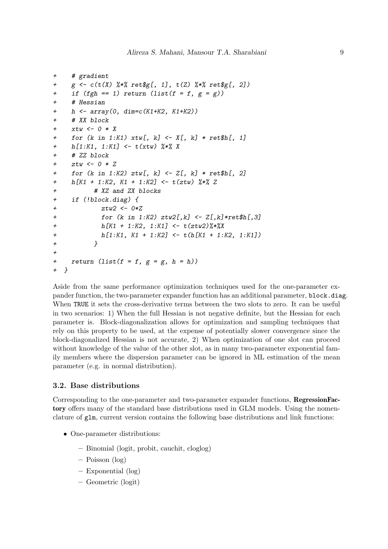```
+ # gradient
+ g \leftarrow c(t(X) \, \frac{\%}{\%} \, ret\, f, 1], t(Z) \, \frac{\%}{\%} \, ret\, f, 2])+ if (fgh == 1) return (list(f = f, g = g))+ # Hessian
+ h <- array(0, dim=c(K1+K2, K1+K2))
+ # XX block
+ xtw \leftarrow 0 * X+ for (k \text{ in } 1:K1) xtw[, k] < -X[, k] * ret$h[, 1]h[1:K1, 1:K1] \leftarrow t(xtw) %*% X
+ # ZZ block
+ ztw <- 0 * Z
+ for (k in 1:K2) ztw[, k] <- Z[, k] * ret$h[, 2]
+ h[K1 + 1:K2, K1 + 1:K2] <- t(ztw) %*% Z
+ # XZ and ZX blocks
+ if (!block.diag) {
            ztw2 < -0*Z+ for (k in 1:K2) ztw2[,k] <- Z[,k]*ret$h[,3]
+ h[K1 + 1:K2, 1:K1] <- t(ztw2)%*%X
+ h[1:K1, K1 + 1:K2] <- t(h[K1 + 1:K2, 1:K1])
+ }
+
+ return (list(f = f, g = g, h = h))+ }
```
Aside from the same performance optimization techniques used for the one-parameter expander function, the two-parameter expander function has an additional parameter, block.diag. When TRUE it sets the cross-derivative terms between the two slots to zero. It can be useful in two scenarios: 1) When the full Hessian is not negative definite, but the Hessian for each parameter is. Block-diagonalization allows for optimization and sampling techniques that rely on this property to be used, at the expense of potentially slower convergence since the block-diagonalized Hessian is not accurate, 2) When optimization of one slot can proceed without knowledge of the value of the other slot, as in many two-parameter exponential family members where the dispersion parameter can be ignored in ML estimation of the mean parameter (e.g. in normal distribution).

#### <span id="page-8-0"></span>3.2. Base distributions

Corresponding to the one-parameter and two-parameter expander functions, RegressionFactory offers many of the standard base distributions used in GLM models. Using the nomenclature of glm, current version contains the following base distributions and link functions:

- One-parameter distributions:
	- Binomial (logit, probit, cauchit, cloglog)
	- Poisson (log)
	- Exponential (log)
	- Geometric (logit)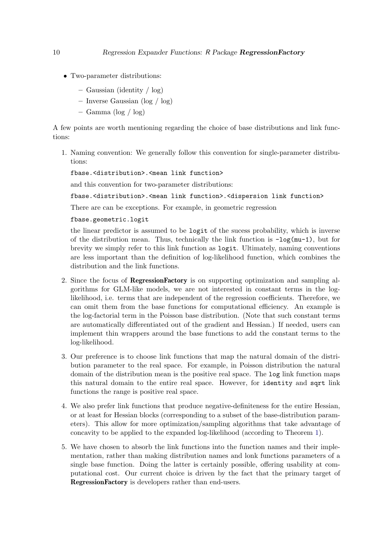- Two-parameter distributions:
	- Gaussian (identity / log)
	- Inverse Gaussian (log / log)
	- Gamma (log / log)

A few points are worth mentioning regarding the choice of base distributions and link functions:

1. Naming convention: We generally follow this convention for single-parameter distributions:

fbase.<distribution>.<mean link function>

and this convention for two-parameter distributions:

fbase.<distribution>.<mean link function>.<dispersion link function>

There are can be exceptions. For example, in geometric regression

fbase.geometric.logit

the linear predictor is assumed to be logit of the sucess probability, which is inverse of the distribution mean. Thus, technically the link function is  $-\log(\mu-1)$ , but for brevity we simply refer to this link function as logit. Ultimately, naming conventions are less important than the definition of log-likelihood function, which combines the distribution and the link functions.

- 2. Since the focus of RegressionFactory is on supporting optimization and sampling algorithms for GLM-like models, we are not interested in constant terms in the loglikelihood, i.e. terms that are independent of the regression coefficients. Therefore, we can omit them from the base functions for computational efficiency. An example is the log-factorial term in the Poisson base distribution. (Note that such constant terms are automatically differentiated out of the gradient and Hessian.) If needed, users can implement thin wrappers around the base functions to add the constant terms to the log-likelihood.
- 3. Our preference is to choose link functions that map the natural domain of the distribution parameter to the real space. For example, in Poisson distribution the natural domain of the distribution mean is the positive real space. The log link function maps this natural domain to the entire real space. However, for identity and sqrt link functions the range is positive real space.
- 4. We also prefer link functions that produce negative-definiteness for the entire Hessian, or at least for Hessian blocks (corresponding to a subset of the base-distribution parameters). This allow for more optimization/sampling algorithms that take advantage of concavity to be applied to the expanded log-likelihood (according to Theorem [1\)](#page-4-2).
- 5. We have chosen to absorb the link functions into the function names and their implementation, rather than making distribution names and lonk functions parameters of a single base function. Doing the latter is certainly possible, offering usability at computational cost. Our current choice is driven by the fact that the primary target of RegressionFactory is developers rather than end-users.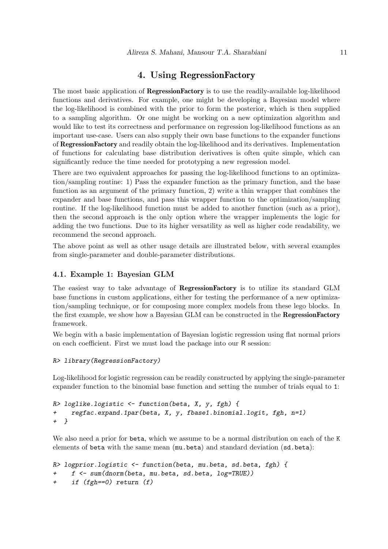# 4. Using RegressionFactory

<span id="page-10-0"></span>The most basic application of **RegressionFactory** is to use the readily-available log-likelihood functions and derivatives. For example, one might be developing a Bayesian model where the log-likelihood is combined with the prior to form the posterior, which is then supplied to a sampling algorithm. Or one might be working on a new optimization algorithm and would like to test its correctness and performance on regression log-likelihood functions as an important use-case. Users can also supply their own base functions to the expander functions of RegressionFactory and readily obtain the log-likelihood and its derivatives. Implementation of functions for calculating base distribution derivatives is often quite simple, which can significantly reduce the time needed for prototyping a new regression model.

There are two equivalent approaches for passing the log-likelihood functions to an optimization/sampling routine: 1) Pass the expander function as the primary function, and the base function as an argument of the primary function, 2) write a thin wrapper that combines the expander and base functions, and pass this wrapper function to the optimization/sampling routine. If the log-likelihood function must be added to another function (such as a prior), then the second approach is the only option where the wrapper implements the logic for adding the two functions. Due to its higher versatility as well as higher code readability, we recommend the second approach.

The above point as well as other usage details are illustrated below, with several examples from single-parameter and double-parameter distributions.

## 4.1. Example 1: Bayesian GLM

The easiest way to take advantage of RegressionFactory is to utilize its standard GLM base functions in custom applications, either for testing the performance of a new optimization/sampling technique, or for composing more complex models from these lego blocks. In the first example, we show how a Bayesian GLM can be constructed in the **RegressionFactory** framework.

We begin with a basic implementation of Bayesian logistic regression using flat normal priors on each coefficient. First we must load the package into our R session:

#### R> library(RegressionFactory)

Log-likelihood for logistic regression can be readily constructed by applying the single-parameter expander function to the binomial base function and setting the number of trials equal to 1:

```
R> loglike.logistic <- function(beta, X, y, fgh) {
    regfac.expand.1par(beta, X, y, fbase1.binomial.logit, fgh, n=1)
+ }
```
We also need a prior for beta, which we assume to be a normal distribution on each of the K elements of beta with the same mean (mu.beta) and standard deviation (sd.beta):

```
R> logprior.logistic <- function(beta, mu.beta, sd.beta, fgh) {
+ f <- sum(dnorm(beta, mu.beta, sd.beta, log=TRUE))
+ if (fgh==0) return (f)
```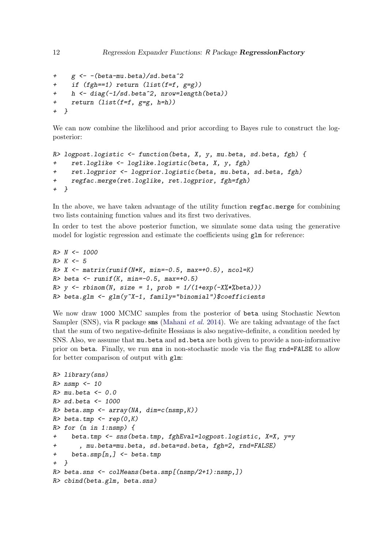```
+ g <- -(beta-mu.beta)/sd.beta^2
+ if (fgh==1) return (list(f=f, g=g))
    h \leftarrow diag(-1/sd.beta^2, nrow=length(beta))+ return (list(f=f, g=g, h=h))
+ }
```
We can now combine the likelihood and prior according to Bayes rule to construct the logposterior:

```
R> logpost.logistic <- function(beta, X, y, mu.beta, sd.beta, fgh) {
+ ret.loglike <- loglike.logistic(beta, X, y, fgh)
+ ret.logprior <- logprior.logistic(beta, mu.beta, sd.beta, fgh)
     regfac.merge(ret.loglike, ret.logprior, fgh=fgh)
+ }
```
In the above, we have taken advantage of the utility function regfac.merge for combining two lists containing function values and its first two derivatives.

In order to test the above posterior function, we simulate some data using the generative model for logistic regression and estimate the coefficients using glm for reference:

```
R> N <- 1000
R > K < -5R > X \leftarrow matrix(runit(N*K, min=-0.5, max=+0.5), ncol=K)R> beta <- runif (K, min=-0.5, max=+0.5)R> y <- rbinom(N, size = 1, prob = 1/(1+exp(-X)/k*E)))
R> beta.glm <- glm(y^*X-1, family="binomial")$coefficients
```
We now draw 1000 MCMC samples from the posterior of beta using Stochastic Newton Sampler (SNS), via R package sns [\(Mahani](#page-17-4) et al. [2014\)](#page-17-4). We are taking advantage of the fact that the sum of two negative-definite Hessians is also negative-definite, a condition needed by SNS. Also, we assume that mu.beta and sd.beta are both given to provide a non-informative prior on beta. Finally, we run sns in non-stochastic mode via the flag rnd=FALSE to allow for better comparison of output with glm:

```
R> library(sns)
R> nsmp <-10R>mu.beta <-0.0R> sd.beta <- 1000
R> beta.smp <- array(NA, dim=c(nsmp, K))
R> beta.tmp <- rep(0,K)R> for (n in 1:nsmp) {
+ beta.tmp <- sns(beta.tmp, fghEval=logpost.logistic, X=X, y=y
+ , mu.beta=mu.beta, sd.beta=sd.beta, fgh=2, rnd=FALSE)
+ beta.smp[n,] <- beta.tmp
+ }
R> beta.sns <- colMeans(beta.smp[(nsmp/2+1):nsmp,])
R> cbind(beta.glm, beta.sns)
```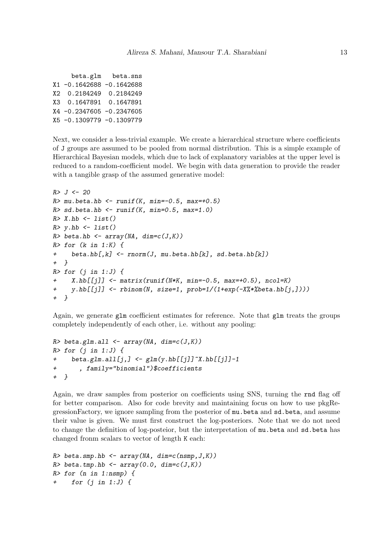|                          | beta.glm beta.sns |
|--------------------------|-------------------|
| X1 -0.1642688 -0.1642688 |                   |
| X2 0.2184249 0.2184249   |                   |
| X3 0.1647891 0.1647891   |                   |
| X4 -0.2347605 -0.2347605 |                   |
| X5 -0.1309779 -0.1309779 |                   |
|                          |                   |

Next, we consider a less-trivial example. We create a hierarchical structure where coefficients of J groups are assumed to be pooled from normal distribution. This is a simple example of Hierarchical Bayesian models, which due to lack of explanatory variables at the upper level is reduced to a random-coefficient model. We begin with data generation to provide the reader with a tangible grasp of the assumed generative model:

```
R > J < -20R mu.beta.hb <- runif (K, min=-0.5, max=+0.5)R > sd. beta.hb \leftarrow runif(K, min=0.5, max=1.0)R > X.hb \leftarrow list()R> y.hb <- list()
R> beta.hb <- array(NA, dim=c(J,K))
R> for (k in 1:K) {
+ beta.hb[,k] <- rnorm(J, mu.beta.hb[k], sd.beta.hb[k])
+ }
R> for (j in 1:J) {
     X.hb[[jj] < - matrix(runif(N*K, min=-0.5, max=+0.5), ncol=K)
+ y.hb[[j]] <- rbinom(N, size=1, prob=1/(1+exp(-X%*%beta.hb[j,])))
+ }
```
Again, we generate glm coefficient estimates for reference. Note that glm treats the groups completely independently of each other, i.e. without any pooling:

```
R> beta.glm.all <- array(NA, dim=c(J,K))
R> for (j in 1:J) {
+ beta.glm.all[j,] <- glm(y.hb[[j]]"X.hb[[j]]-1
+ , family="binomial")$coefficients
+ }
```
Again, we draw samples from posterior on coefficients using SNS, turning the rnd flag off for better comparison. Also for code brevity and maintaining focus on how to use pkgRegressionFactory, we ignore sampling from the posterior of mu.beta and sd.beta, and assume their value is given. We must first construct the log-posteriors. Note that we do not need to change the definition of log-posteior, but the interpretation of mu.beta and sd.beta has changed fronm scalars to vector of length K each:

```
R> beta.smp.hb <- array(NA, dim=c(nsmp, J,K))
R> beta.tmp.hb <- array(0.0, dim=c(J,K))
R> for (n in 1:nsmp) {
     for (j in 1:J) {
```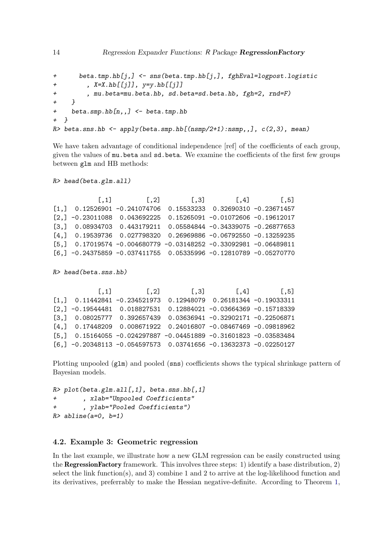```
+ beta.tmp.hb[j,] <- sns(beta.tmp.hb[j,], fghEval=logpost.logistic
+ , X=X.hb[[j]], y=y.hb[[j]]
+ , mu.beta=mu.beta.hb, sd.beta=sd.beta.hb, fgh=2, rnd=F)
+ }
+ beta.smp.hb[n,,] <- beta.tmp.hb
+ }
R> beta.sns.hb <- apply(beta.smp.hb[(nsmp/2+1):nsmp,,], c(2,3), mean)
```
We have taken advantage of conditional independence [ref] of the coefficients of each group, given the values of mu.beta and sd.beta. We examine the coefficients of the first few groups between glm and HB methods:

R> head(beta.glm.all)

 $[$ ,1]  $[$ ,2]  $[$ ,3]  $[$ ,4]  $[$ ,5] [1,] 0.12526901 -0.241074706 0.15533233 0.32690310 -0.23671457 [2,] -0.23011088 0.043692225 0.15265091 -0.01072606 -0.19612017 [3,] 0.08934703 0.443179211 0.05584844 -0.34339075 -0.26877653 [4,] 0.19539736 0.027798320 0.26969886 -0.06792550 -0.13259235 [5,] 0.17019574 -0.004680779 -0.03148252 -0.33092981 -0.06489811 [6,] -0.24375859 -0.037411755 0.05335996 -0.12810789 -0.05270770

R> head(beta.sns.hb)

 $[$ ,1]  $[$ ,2]  $[$ ,3]  $[$ ,4]  $[$ ,5] [1,] 0.11442841 -0.234521973 0.12948079 0.26181344 -0.19033311 [2,] -0.19544481 0.018827531 0.12884021 -0.03664369 -0.15718339 [3,] 0.08025777 0.392657439 0.03636941 -0.32902171 -0.22506871 [4,] 0.17448209 0.008671922 0.24016807 -0.08467469 -0.09818962 [5,] 0.15164055 -0.024297887 -0.04451889 -0.31601823 -0.03583484 [6,] -0.20348113 -0.054597573 0.03741656 -0.13632373 -0.02250127

Plotting unpooled (glm) and pooled (sns) coefficients shows the typical shrinkage pattern of Bayesian models.

```
R> plot(beta.glm.all[,1], beta.sns.hb[,1]
+ , xlab="Unpooled Coefficients"
        , ylab="Pooled Coefficients")
R> abline(a=0, b=1)
```
## 4.2. Example 3: Geometric regression

In the last example, we illustrate how a new GLM regression can be easily constructed using the RegressionFactory framework. This involves three steps: 1) identify a base distribution, 2) select the link function(s), and 3) combine 1 and 2 to arrive at the log-likelihood function and its derivatives, preferrably to make the Hessian negative-definite. According to Theorem [1,](#page-4-2)

14 Regression Expander Functions: R Package Regression Factory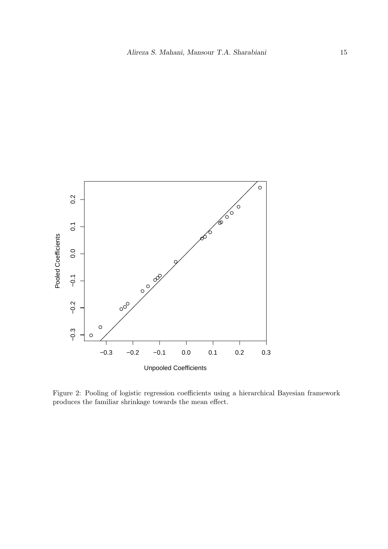

Figure 2: Pooling of logistic regression coefficients using a hierarchical Bayesian framework produces the familiar shrinkage towards the mean effect.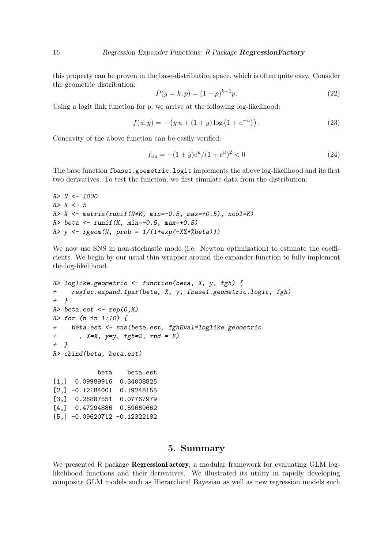this property can be proven in the base-distribution space, which is often quite easy. Consider the geometric distribution:

$$
P(y=k;p) = (1-p)^{k-1}p.
$$
\n(22)

Using a logit link function for  $p$ , we arrive at the following log-likelihood:

$$
f(u; y) = -\left(y u + (1 + y)\log\left(1 + e^{-u}\right)\right). \tag{23}
$$

Concavity of the above function can be easily verified:

$$
f_{uu} = -(1+y)e^u/(1+e^u)^2 < 0
$$
\n(24)

The base function fbase1.goemetric.logit implements the above log-likelihood and its first two derivatives. To test the function, we first simulate data from the distribution:

```
R > N < - 1000R > K < -5R > X \leftarrow matrix(runif(N*K, min=-0.5, max=+0.5), ncol=K)R> beta <- runif(K, min = -0.5, max = +0.5)
R > y \leftarrow rgeom(N, prob = 1/(1+exp(-X_{0}^{0}*)^{2}beta)))
```
We now use SNS in non-stochastic mode (i.e. Newton optimization) to estimate the coefficients. We begin by our usual thin wrapper around the expander function to fully implement the log-likelihood.

```
R> loglike.geometric \leq function(beta, X, y, fgh) {
+ regfac.expand.1par(beta, X, y, fbase1.geometric.logit, fgh)
+ }
R> beta.est <- rep(0, K)R> for (n in 1:10) {
+ beta.est <- sns(beta.est, fghEval=loglike.geometric
+ , X=X, y=y, fgh=2, rnd = F)
+ }
R> cbind(beta, beta.est)
           beta beta.est
[1,] 0.09989916 0.34008825
[2,] -0.12184001 0.19248155
[3,] 0.26887551 0.07767979
[4,] 0.47294886 0.59669662
[5,] -0.09620712 -0.12322182
```
## 5. Summary

<span id="page-15-0"></span>We presented R package **RegressionFactory**, a modular framework for evaluating GLM loglikelihood functions and their derivatives. We illustrated its utility in rapidly developing composite GLM models such as Hierarchical Bayesian as well as new regression models such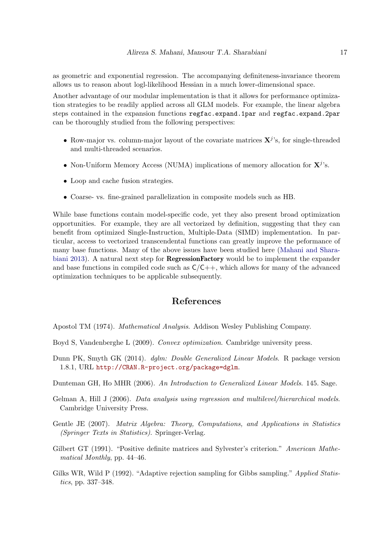as geometric and exponential regression. The accompanying definiteness-invariance theorem allows us to reason about logl-likelihood Hessian in a much lower-dimensional space.

Another advantage of our modular implementation is that it allows for performance optimization strategies to be readily applied across all GLM models. For example, the linear algebra steps contained in the expansion functions regfac.expand.1par and regfac.expand.2par can be thoroughly studied from the following perspectives:

- Row-major vs. column-major layout of the covariate matrices  $X^j$ 's, for single-threaded and multi-threaded scenarios.
- Non-Uniform Memory Access (NUMA) implications of memory allocation for  $X^j$ 's.
- Loop and cache fusion strategies.
- Coarse- vs. fine-grained parallelization in composite models such as HB.

While base functions contain model-specific code, yet they also present broad optimization opportunities. For example, they are all vectorized by definition, suggesting that they can benefit from optimized Single-Instruction, Multiple-Data (SIMD) implementation. In particular, access to vectorized transcendental functions can greatly improve the peformance of many base functions. Many of the above issues have been studied here [\(Mahani and Shara](#page-17-8)[biani](#page-17-8) [2013\)](#page-17-8). A natural next step for **RegressionFactory** would be to implement the expander and base functions in compiled code such as  $C/C++$ , which allows for many of the advanced optimization techniques to be applicable subsequently.

# References

<span id="page-16-3"></span>Apostol TM (1974). Mathematical Analysis. Addison Wesley Publishing Company.

- <span id="page-16-7"></span>Boyd S, Vandenberghe L (2009). Convex optimization. Cambridge university press.
- <span id="page-16-4"></span>Dunn PK, Smyth GK (2014). dglm: Double Generalized Linear Models. R package version 1.8.1, URL <http://CRAN.R-project.org/package=dglm>.

<span id="page-16-0"></span>Dunteman GH, Ho MHR (2006). An Introduction to Generalized Linear Models. 145. Sage.

- <span id="page-16-5"></span>Gelman A, Hill J (2006). Data analysis using regression and multilevel/hierarchical models. Cambridge University Press.
- <span id="page-16-2"></span>Gentle JE (2007). Matrix Algebra: Theory, Computations, and Applications in Statistics (Springer Texts in Statistics). Springer-Verlag.
- <span id="page-16-6"></span>Gilbert GT (1991). "Positive definite matrices and Sylvester's criterion." American Mathematical Monthly, pp. 44–46.
- <span id="page-16-1"></span>Gilks WR, Wild P (1992). "Adaptive rejection sampling for Gibbs sampling." Applied Statistics, pp. 337–348.